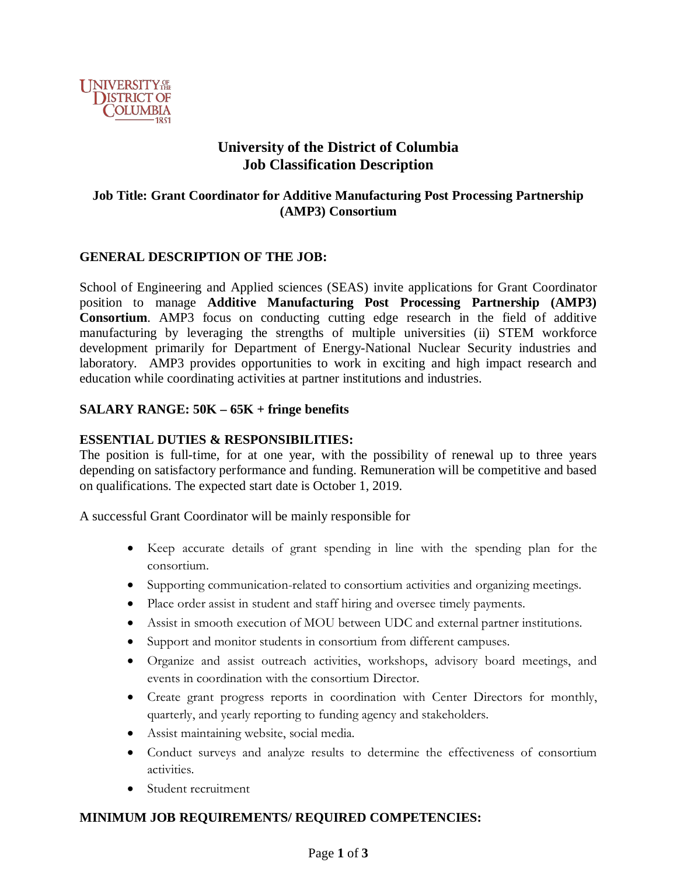

## **University of the District of Columbia Job Classification Description**

## **Job Title: Grant Coordinator for Additive Manufacturing Post Processing Partnership (AMP3) Consortium**

#### **GENERAL DESCRIPTION OF THE JOB:**

School of Engineering and Applied sciences (SEAS) invite applications for Grant Coordinator position to manage **Additive Manufacturing Post Processing Partnership (AMP3) Consortium**. AMP3 focus on conducting cutting edge research in the field of additive manufacturing by leveraging the strengths of multiple universities (ii) STEM workforce development primarily for Department of Energy-National Nuclear Security industries and laboratory. AMP3 provides opportunities to work in exciting and high impact research and education while coordinating activities at partner institutions and industries.

#### **SALARY RANGE: 50K – 65K + fringe benefits**

#### **ESSENTIAL DUTIES & RESPONSIBILITIES:**

The position is full-time, for at one year, with the possibility of renewal up to three years depending on satisfactory performance and funding. Remuneration will be competitive and based on qualifications. The expected start date is October 1, 2019.

A successful Grant Coordinator will be mainly responsible for

- Keep accurate details of grant spending in line with the spending plan for the consortium.
- Supporting communication-related to consortium activities and organizing meetings.
- Place order assist in student and staff hiring and oversee timely payments.
- Assist in smooth execution of MOU between UDC and external partner institutions.
- Support and monitor students in consortium from different campuses.
- Organize and assist outreach activities, workshops, advisory board meetings, and events in coordination with the consortium Director.
- Create grant progress reports in coordination with Center Directors for monthly, quarterly, and yearly reporting to funding agency and stakeholders.
- Assist maintaining website, social media.
- Conduct surveys and analyze results to determine the effectiveness of consortium activities.
- Student recruitment

### **MINIMUM JOB REQUIREMENTS/ REQUIRED COMPETENCIES:**

#### Page **1** of **3**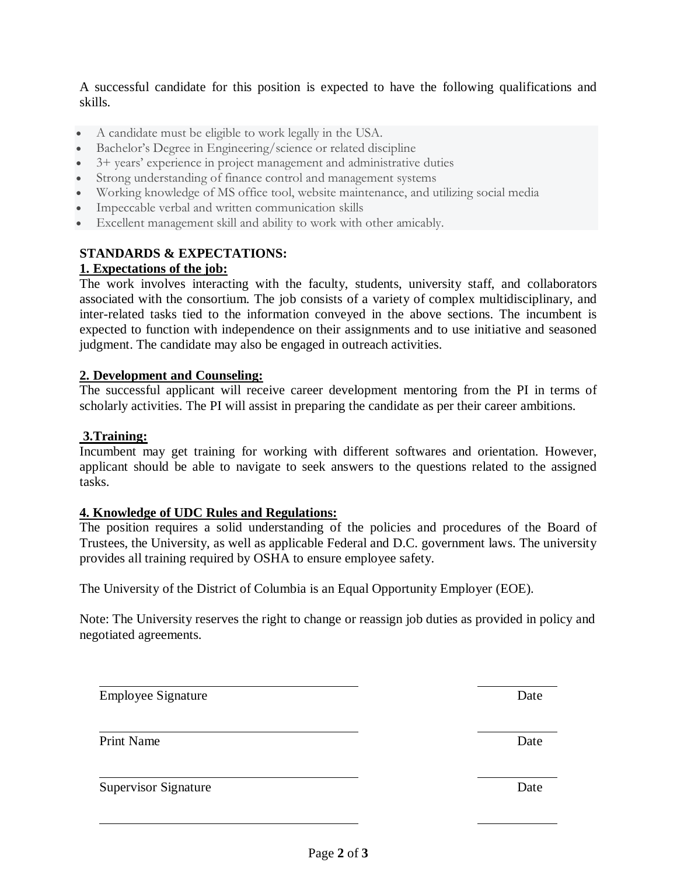A successful candidate for this position is expected to have the following qualifications and skills.

- A candidate must be eligible to work legally in the USA.
- Bachelor's Degree in Engineering/science or related discipline
- 3+ years' experience in project management and administrative duties
- Strong understanding of finance control and management systems
- Working knowledge of MS office tool, website maintenance, and utilizing social media
- Impeccable verbal and written communication skills
- Excellent management skill and ability to work with other amicably.

# **STANDARDS & EXPECTATIONS:**

## **1. Expectations of the job:**

The work involves interacting with the faculty, students, university staff, and collaborators associated with the consortium. The job consists of a variety of complex multidisciplinary, and inter-related tasks tied to the information conveyed in the above sections. The incumbent is expected to function with independence on their assignments and to use initiative and seasoned judgment. The candidate may also be engaged in outreach activities.

#### **2. Development and Counseling:**

The successful applicant will receive career development mentoring from the PI in terms of scholarly activities. The PI will assist in preparing the candidate as per their career ambitions.

## **3.Training:**

Incumbent may get training for working with different softwares and orientation. However, applicant should be able to navigate to seek answers to the questions related to the assigned tasks.

#### **4. Knowledge of UDC Rules and Regulations:**

The position requires a solid understanding of the policies and procedures of the Board of Trustees, the University, as well as applicable Federal and D.C. government laws. The university provides all training required by OSHA to ensure employee safety.

The University of the District of Columbia is an Equal Opportunity Employer (EOE).

Note: The University reserves the right to change or reassign job duties as provided in policy and negotiated agreements.

Employee Signature Date

Print Name Date by a state of the Unit of the Unit of the Unit of the Unit of the Unit of the Unit of the Unit of the Unit of the Unit of the Unit of the Unit of the Unit of the Unit of the Unit of the Unit of the Unit of

Supervisor Signature Date